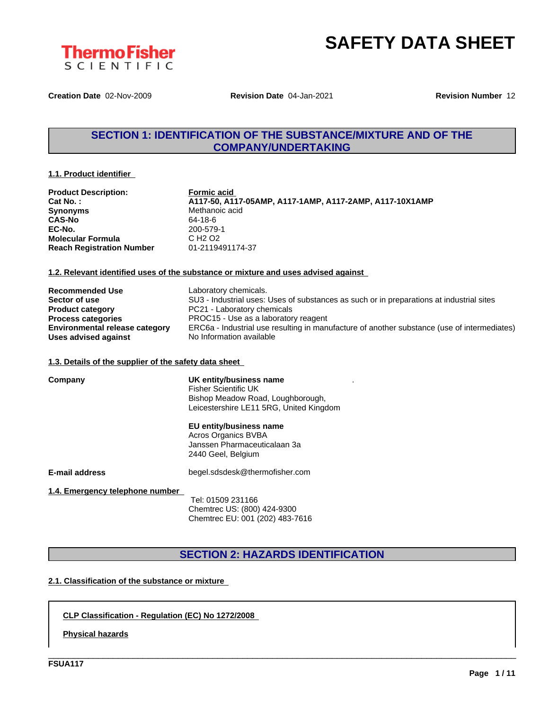

**Creation Date** 02-Nov-2009 **Revision Date** 04-Jan-2021 **Revision Number** 12

# **SECTION 1: IDENTIFICATION OF THE SUBSTANCE/MIXTURE AND OF THE COMPANY/UNDERTAKING**

#### **1.1. Product identifier**

| <b>Product Description:</b>      | <b>Formic acid</b>                                      |
|----------------------------------|---------------------------------------------------------|
| Cat No.:                         | A117-50, A117-05AMP, A117-1AMP, A117-2AMP, A117-10X1AMP |
| <b>Synonyms</b>                  | Methanoic acid                                          |
| <b>CAS-No</b>                    | 64-18-6                                                 |
| EC-No.                           | 200-579-1                                               |
| <b>Molecular Formula</b>         | C H <sub>2</sub> O <sub>2</sub>                         |
| <b>Reach Registration Number</b> | 01-2119491174-37                                        |

### **1.2. Relevant identified uses of the substance or mixture and uses advised against**

| <b>Recommended Use</b>                | Laboratory chemicals.                                                                       |
|---------------------------------------|---------------------------------------------------------------------------------------------|
| Sector of use                         | SU3 - Industrial uses: Uses of substances as such or in preparations at industrial sites    |
| <b>Product category</b>               | PC21 - Laboratory chemicals                                                                 |
| <b>Process categories</b>             | PROC15 - Use as a laboratory reagent                                                        |
| <b>Environmental release category</b> | ERC6a - Industrial use resulting in manufacture of another substance (use of intermediates) |
| Uses advised against                  | No Information available                                                                    |

#### **1.3. Details of the supplier of the safety data sheet**

| Company                         | UK entity/business name<br><b>Fisher Scientific UK</b><br>Bishop Meadow Road, Loughborough,<br>Leicestershire LE11 5RG, United Kingdom |
|---------------------------------|----------------------------------------------------------------------------------------------------------------------------------------|
|                                 | EU entity/business name<br>Acros Organics BVBA<br>Janssen Pharmaceuticalaan 3a<br>2440 Geel, Belgium                                   |
| E-mail address                  | begel.sdsdesk@thermofisher.com                                                                                                         |
| 1.4. Emergency telephone number | Tel: 01509 231166<br>Chemtrec US: (800) 424-9300<br>Chemtrec EU: 001 (202) 483-7616                                                    |

# **SECTION 2: HAZARDS IDENTIFICATION**

\_\_\_\_\_\_\_\_\_\_\_\_\_\_\_\_\_\_\_\_\_\_\_\_\_\_\_\_\_\_\_\_\_\_\_\_\_\_\_\_\_\_\_\_\_\_\_\_\_\_\_\_\_\_\_\_\_\_\_\_\_\_\_\_\_\_\_\_\_\_\_\_\_\_\_\_\_\_\_\_\_\_\_\_\_\_\_\_\_\_\_\_\_\_

### **2.1. Classification of the substance or mixture**

### **CLP Classification - Regulation (EC) No 1272/2008**

**Physical hazards**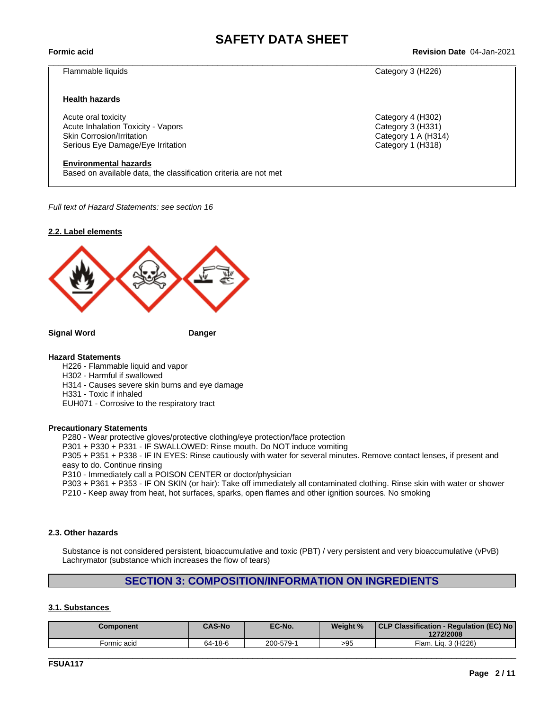$\_$  ,  $\_$  ,  $\_$  ,  $\_$  ,  $\_$  ,  $\_$  ,  $\_$  ,  $\_$  ,  $\_$  ,  $\_$  ,  $\_$  ,  $\_$  ,  $\_$  ,  $\_$  ,  $\_$  ,  $\_$  ,  $\_$  ,  $\_$  ,  $\_$  ,  $\_$  ,  $\_$  ,  $\_$  ,  $\_$  ,  $\_$  ,  $\_$  ,  $\_$  ,  $\_$  ,  $\_$  ,  $\_$  ,  $\_$  ,  $\_$  ,  $\_$  ,  $\_$  ,  $\_$  ,  $\_$  ,  $\_$  ,  $\_$  ,

**Formic acid Revision Date** 04-Jan-2021

#### Flammable liquids Category 3 (H226)

#### **Health hazards**

Acute oral toxicity Category 4 (H302) Acute Inhalation Toxicity - Vapors Category 3 (H331) Skin Corrosion/Irritation Category 1 A (H314) Serious Eye Damage/Eye Irritation **Category 1 (H318)** Category 1 (H318)

#### **Environmental hazards**

Based on available data, the classification criteria are not met

*Full text of Hazard Statements: see section 16*

#### **2.2. Label elements**



**Signal Word Danger**

#### **Hazard Statements**

H226 - Flammable liquid and vapor H302 - Harmful if swallowed H314 - Causes severe skin burns and eye damage H331 - Toxic if inhaled EUH071 - Corrosive to the respiratory tract

#### **Precautionary Statements**

P280 - Wear protective gloves/protective clothing/eye protection/face protection

P301 + P330 + P331 - IF SWALLOWED: Rinse mouth. Do NOT induce vomiting

P305 + P351 + P338 - IF IN EYES: Rinse cautiously with water for several minutes. Remove contact lenses, if present and easy to do. Continue rinsing

P310 - Immediately call a POISON CENTER or doctor/physician

P303 + P361 + P353 - IF ON SKIN (or hair): Take off immediately all contaminated clothing. Rinse skin with water or shower P210 - Keep away from heat, hot surfaces, sparks, open flames and other ignition sources. No smoking

### **2.3. Other hazards**

Substance is not considered persistent, bioaccumulative and toxic (PBT) / very persistent and very bioaccumulative (vPvB) Lachrymator (substance which increases the flow of tears)

### **SECTION 3: COMPOSITION/INFORMATION ON INGREDIENTS**

#### **3.1. Substances**

| Component   | <b>CAS-No</b> | EC-No.    | Weight % | CLP Classification - Regulation (EC) No<br>1272/2008 |
|-------------|---------------|-----------|----------|------------------------------------------------------|
| Formic acid | 64-18-6       | 200-579-1 | >95      | . Lia. 3 (H226)<br>$F$ lam.                          |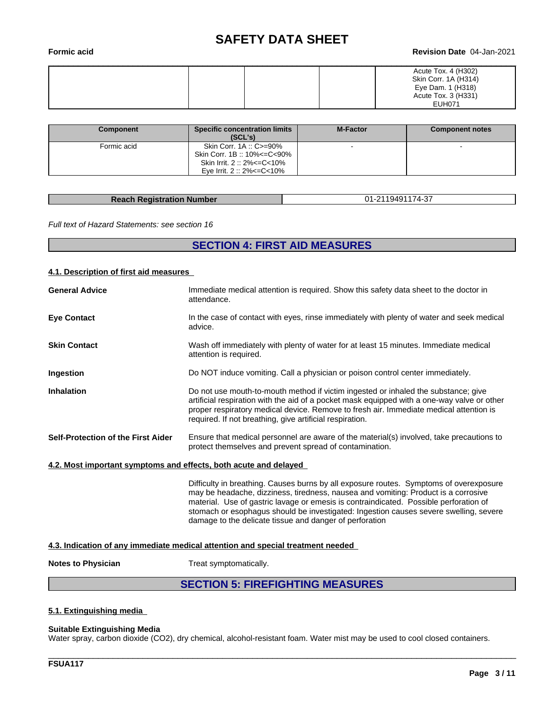#### **Formic acid Revision Date** 04-Jan-2021

| Acute Tox. 4 (H302)<br>Skin Corr. 1A (H314) |
|---------------------------------------------|
| Eye Dam. 1 (H318)                           |
| Acute Tox. 3 (H331)<br><b>EUH071</b>        |

| Component   | <b>Specific concentration limits</b><br>(SCL's)                                                                            | <b>M-Factor</b> | <b>Component notes</b> |
|-------------|----------------------------------------------------------------------------------------------------------------------------|-----------------|------------------------|
| Formic acid | Skin Corr. 1A: C>=90%<br>Skin Corr. 1B :: 10%<=C<90%<br>Skin Irrit. 2 :: 2% <= C < 10%<br>Eve Irrit. $2::2\% < = C < 10\%$ |                 |                        |

| <b>Reach Registration Number</b> | 01-2119491174-37 |
|----------------------------------|------------------|

*Full text of Hazard Statements: see section 16*

### **SECTION 4: FIRST AID MEASURES**

#### **4.1. Description of first aid measures**

| <b>General Advice</b>                                            | Immediate medical attention is required. Show this safety data sheet to the doctor in<br>attendance.                                                                                                                                                                                                                                    |
|------------------------------------------------------------------|-----------------------------------------------------------------------------------------------------------------------------------------------------------------------------------------------------------------------------------------------------------------------------------------------------------------------------------------|
| <b>Eye Contact</b>                                               | In the case of contact with eyes, rinse immediately with plenty of water and seek medical<br>advice.                                                                                                                                                                                                                                    |
| <b>Skin Contact</b>                                              | Wash off immediately with plenty of water for at least 15 minutes. Immediate medical<br>attention is required.                                                                                                                                                                                                                          |
| Ingestion                                                        | Do NOT induce vomiting. Call a physician or poison control center immediately.                                                                                                                                                                                                                                                          |
| <b>Inhalation</b>                                                | Do not use mouth-to-mouth method if victim ingested or inhaled the substance; give<br>artificial respiration with the aid of a pocket mask equipped with a one-way valve or other<br>proper respiratory medical device. Remove to fresh air. Immediate medical attention is<br>required. If not breathing, give artificial respiration. |
| Self-Protection of the First Aider                               | Ensure that medical personnel are aware of the material(s) involved, take precautions to<br>protect themselves and prevent spread of contamination.                                                                                                                                                                                     |
| 4.2. Most important symptoms and effects, both acute and delayed |                                                                                                                                                                                                                                                                                                                                         |

Difficulty in breathing. Causes burns by all exposure routes. Symptoms of overexposure may be headache, dizziness, tiredness, nausea and vomiting: Product is a corrosive material. Use of gastric lavage or emesis is contraindicated. Possible perforation of stomach or esophagus should be investigated: Ingestion causes severe swelling, severe damage to the delicate tissue and danger of perforation

\_\_\_\_\_\_\_\_\_\_\_\_\_\_\_\_\_\_\_\_\_\_\_\_\_\_\_\_\_\_\_\_\_\_\_\_\_\_\_\_\_\_\_\_\_\_\_\_\_\_\_\_\_\_\_\_\_\_\_\_\_\_\_\_\_\_\_\_\_\_\_\_\_\_\_\_\_\_\_\_\_\_\_\_\_\_\_\_\_\_\_\_\_\_

#### **4.3. Indication of any immediate medical attention and special treatment needed**

**Notes to Physician** Treat symptomatically.

### **SECTION 5: FIREFIGHTING MEASURES**

### **5.1. Extinguishing media**

#### **Suitable Extinguishing Media**

Water spray, carbon dioxide (CO2), dry chemical, alcohol-resistant foam. Water mist may be used to cool closed containers.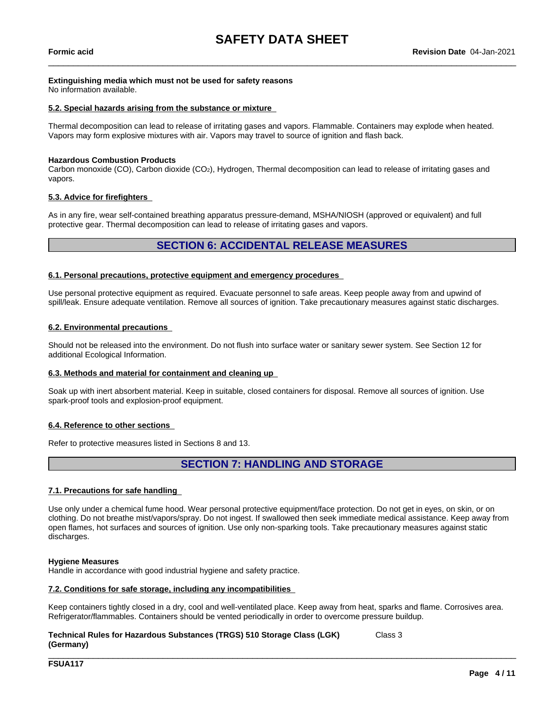$\_$  ,  $\_$  ,  $\_$  ,  $\_$  ,  $\_$  ,  $\_$  ,  $\_$  ,  $\_$  ,  $\_$  ,  $\_$  ,  $\_$  ,  $\_$  ,  $\_$  ,  $\_$  ,  $\_$  ,  $\_$  ,  $\_$  ,  $\_$  ,  $\_$  ,  $\_$  ,  $\_$  ,  $\_$  ,  $\_$  ,  $\_$  ,  $\_$  ,  $\_$  ,  $\_$  ,  $\_$  ,  $\_$  ,  $\_$  ,  $\_$  ,  $\_$  ,  $\_$  ,  $\_$  ,  $\_$  ,  $\_$  ,  $\_$  ,

### **Extinguishing media which must not be used for safety reasons**

No information available.

#### **5.2. Special hazards arising from the substance or mixture**

Thermal decomposition can lead to release of irritating gases and vapors. Flammable. Containers may explode when heated. Vapors may form explosive mixtures with air. Vapors may travel to source of ignition and flash back.

#### **Hazardous Combustion Products**

Carbon monoxide (CO), Carbon dioxide (CO<sub>2</sub>), Hydrogen, Thermal decomposition can lead to release of irritating gases and vapors.

#### **5.3. Advice for firefighters**

As in any fire, wear self-contained breathing apparatus pressure-demand, MSHA/NIOSH (approved or equivalent) and full protective gear. Thermal decomposition can lead to release of irritating gases and vapors.

### **SECTION 6: ACCIDENTAL RELEASE MEASURES**

#### **6.1. Personal precautions, protective equipment and emergency procedures**

Use personal protective equipment as required. Evacuate personnel to safe areas. Keep people away from and upwind of spill/leak. Ensure adequate ventilation. Remove all sources of ignition. Take precautionary measures against static discharges.

#### **6.2. Environmental precautions**

Should not be released into the environment. Do not flush into surface water or sanitary sewer system. See Section 12 for additional Ecological Information.

#### **6.3. Methods and material for containment and cleaning up**

Soak up with inert absorbent material. Keep in suitable, closed containers for disposal. Remove all sources of ignition. Use spark-proof tools and explosion-proof equipment.

#### **6.4. Reference to other sections**

Refer to protective measures listed in Sections 8 and 13.

### **SECTION 7: HANDLING AND STORAGE**

#### **7.1. Precautions for safe handling**

Use only under a chemical fume hood. Wear personal protective equipment/face protection. Do not get in eyes, on skin, or on clothing. Do not breathe mist/vapors/spray. Do not ingest. If swallowed then seek immediate medical assistance. Keep away from open flames, hot surfaces and sources of ignition. Use only non-sparking tools. Take precautionary measures against static discharges.

#### **Hygiene Measures**

Handle in accordance with good industrial hygiene and safety practice.

#### **7.2. Conditions for safe storage, including any incompatibilities**

Keep containers tightly closed in a dry, cool and well-ventilated place. Keep away from heat, sparks and flame. Corrosives area. Refrigerator/flammables. Containers should be vented periodically in order to overcome pressure buildup.

\_\_\_\_\_\_\_\_\_\_\_\_\_\_\_\_\_\_\_\_\_\_\_\_\_\_\_\_\_\_\_\_\_\_\_\_\_\_\_\_\_\_\_\_\_\_\_\_\_\_\_\_\_\_\_\_\_\_\_\_\_\_\_\_\_\_\_\_\_\_\_\_\_\_\_\_\_\_\_\_\_\_\_\_\_\_\_\_\_\_\_\_\_\_

#### **Technical Rules for Hazardous Substances (TRGS) 510 Storage Class (LGK) (Germany)** Class 3

**FSUA117**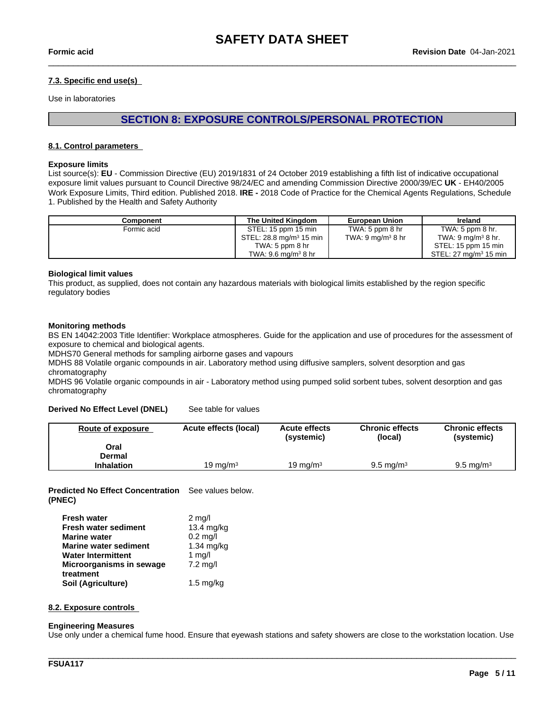$\_$  ,  $\_$  ,  $\_$  ,  $\_$  ,  $\_$  ,  $\_$  ,  $\_$  ,  $\_$  ,  $\_$  ,  $\_$  ,  $\_$  ,  $\_$  ,  $\_$  ,  $\_$  ,  $\_$  ,  $\_$  ,  $\_$  ,  $\_$  ,  $\_$  ,  $\_$  ,  $\_$  ,  $\_$  ,  $\_$  ,  $\_$  ,  $\_$  ,  $\_$  ,  $\_$  ,  $\_$  ,  $\_$  ,  $\_$  ,  $\_$  ,  $\_$  ,  $\_$  ,  $\_$  ,  $\_$  ,  $\_$  ,  $\_$  ,

### **7.3. Specific end use(s)**

Use in laboratories

# **SECTION 8: EXPOSURE CONTROLS/PERSONAL PROTECTION**

#### **8.1. Control parameters**

#### **Exposure limits**

List source(s): **EU** - Commission Directive (EU) 2019/1831 of 24 October 2019 establishing a fifth list ofindicative occupational exposure limit values pursuant to Council Directive 98/24/EC and amending Commission Directive 2000/39/EC UK - EH40/2005 Work Exposure Limits, Third edition. Published 2018. **IRE -** 2018 Code of Practice for the Chemical Agents Regulations, Schedule 1. Published by the Health and Safety Authority

| Component   | The United Kinadom                  | <b>European Union</b>                | <b>Ireland</b>                   |
|-------------|-------------------------------------|--------------------------------------|----------------------------------|
| Formic acid | STEL: 15 ppm 15 min                 | TWA: $5$ ppm $8$ hr                  | TWA: 5 ppm $8$ hr.               |
|             | STEL: 28.8 mg/m <sup>3</sup> 15 min | TWA: $9 \text{ mg/m}^3 8 \text{ hr}$ | TWA: $9 \text{ mg/m}^3$ 8 hr.    |
|             | TWA: $5$ ppm $8$ hr                 |                                      | STEL: 15 ppm 15 min              |
|             | TWA: 9.6 mg/m <sup>3</sup> 8 hr     |                                      | STEL: $27 \text{ ma/m}^3$ 15 min |

#### **Biological limit values**

This product, as supplied, does not contain any hazardous materials with biological limits established by the region specific regulatory bodies

#### **Monitoring methods**

BS EN 14042:2003 Title Identifier: Workplace atmospheres. Guide for the application and use of procedures for the assessment of exposure to chemical and biological agents.

MDHS70 General methods for sampling airborne gases and vapours

MDHS 88 Volatile organic compounds in air. Laboratory method using diffusive samplers, solvent desorption and gas chromatography

MDHS 96 Volatile organic compounds in air - Laboratory method using pumped solid sorbent tubes, solvent desorption and gas chromatography

#### **Derived No Effect Level (DNEL)** See table for values

| Route of exposure | Acute effects (local) | <b>Acute effects</b><br>(systemic) | <b>Chronic effects</b><br>(local) | <b>Chronic effects</b><br>(systemic) |
|-------------------|-----------------------|------------------------------------|-----------------------------------|--------------------------------------|
| Oral              |                       |                                    |                                   |                                      |
| Dermal            |                       |                                    |                                   |                                      |
| <b>Inhalation</b> | 19 ma/m $^3\,$        | 19 mg/m $3$                        | $9.5 \text{ ma/m}^3$              | $9.5 \text{ ma/m}^3$                 |

**Predicted No Effect Concentration** See values below. **(PNEC)**

| <b>Fresh water</b>           | $2 \text{ mg/l}$    |
|------------------------------|---------------------|
| <b>Fresh water sediment</b>  | 13.4 mg/kg          |
| <b>Marine water</b>          | $0.2$ mg/l          |
| <b>Marine water sediment</b> | $1.34$ mg/kg        |
| <b>Water Intermittent</b>    | 1 $mg/l$            |
| Microorganisms in sewage     | $7.2$ mg/l          |
| treatment                    |                     |
| Soil (Agriculture)           | $1.5 \text{ mg/kg}$ |

#### **8.2. Exposure controls**

#### **Engineering Measures**

Use only under a chemical fume hood. Ensure that eyewash stations and safety showers are close to the workstation location. Use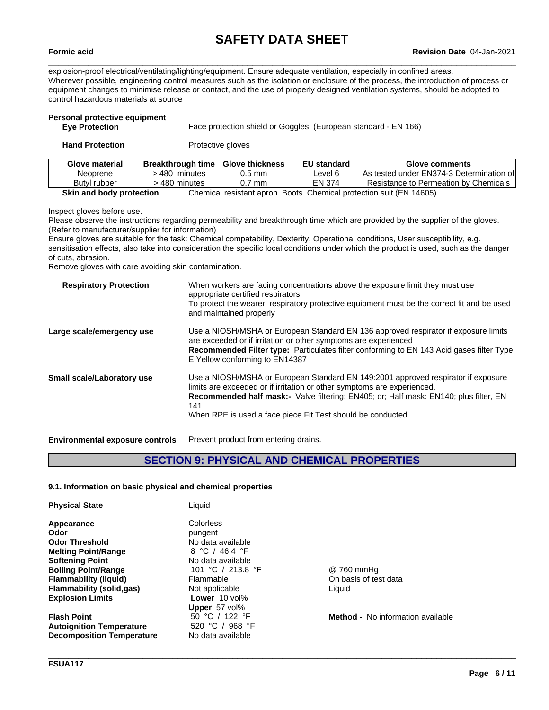$\_$  ,  $\_$  ,  $\_$  ,  $\_$  ,  $\_$  ,  $\_$  ,  $\_$  ,  $\_$  ,  $\_$  ,  $\_$  ,  $\_$  ,  $\_$  ,  $\_$  ,  $\_$  ,  $\_$  ,  $\_$  ,  $\_$  ,  $\_$  ,  $\_$  ,  $\_$  ,  $\_$  ,  $\_$  ,  $\_$  ,  $\_$  ,  $\_$  ,  $\_$  ,  $\_$  ,  $\_$  ,  $\_$  ,  $\_$  ,  $\_$  ,  $\_$  ,  $\_$  ,  $\_$  ,  $\_$  ,  $\_$  ,  $\_$  ,

explosion-proof electrical/ventilating/lighting/equipment. Ensure adequate ventilation, especially in confined areas. Wherever possible, engineering control measures such as the isolation or enclosure of the process, the introduction of process or equipment changes to minimise release or contact, and the use of properly designed ventilation systems, should be adopted to control hazardous materials at source

| Personal protective equipment |                        |                    |                                                                |
|-------------------------------|------------------------|--------------------|----------------------------------------------------------------|
|                               |                        |                    |                                                                |
| <b>Breakthrough time</b>      | <b>Glove thickness</b> | <b>EU standard</b> | Glove comments                                                 |
| > 480 minutes                 | $0.5$ mm               | Level 6            | As tested under EN374-3 Determination of                       |
| > 480 minutes                 | $0.7$ mm               | EN 374             | Resistance to Permeation by Chemicals                          |
|                               |                        | Protective gloves  | Face protection shield or Goggles (European standard - EN 166) |

**Skin and body protection** Chemical resistant apron. Boots. Chemical protection suit (EN 14605).

Inspect gloves before use.

Please observe the instructions regarding permeability and breakthrough time which are provided by the supplier of the gloves. (Refer to manufacturer/supplier for information)

Ensure gloves are suitable for the task: Chemical compatability, Dexterity, Operational conditions, User susceptibility, e.g. sensitisation effects, also take into consideration the specific local conditions under which the product is used, such as the danger of cuts, abrasion.

Remove gloves with care avoiding skin contamination.

| <b>Respiratory Protection</b>     | When workers are facing concentrations above the exposure limit they must use<br>appropriate certified respirators.                                          |
|-----------------------------------|--------------------------------------------------------------------------------------------------------------------------------------------------------------|
|                                   | To protect the wearer, respiratory protective equipment must be the correct fit and be used<br>and maintained properly                                       |
| Large scale/emergency use         | Use a NIOSH/MSHA or European Standard EN 136 approved respirator if exposure limits<br>are exceeded or if irritation or other symptoms are experienced       |
|                                   | <b>Recommended Filter type:</b> Particulates filter conforming to EN 143 Acid gases filter Type<br>E Yellow conforming to EN14387                            |
| <b>Small scale/Laboratory use</b> | Use a NIOSH/MSHA or European Standard EN 149:2001 approved respirator if exposure<br>limits are exceeded or if irritation or other symptoms are experienced. |
|                                   | <b>Recommended half mask:-</b> Valve filtering: EN405; or; Half mask: EN140; plus filter, EN<br>141                                                          |
|                                   | When RPE is used a face piece Fit Test should be conducted                                                                                                   |

**Environmental exposure controls** Prevent product from entering drains.

# **SECTION 9: PHYSICAL AND CHEMICAL PROPERTIES**

#### **9.1. Information on basic physical and chemical properties**

| <b>Physical State</b>            | Liquid            |                                      |
|----------------------------------|-------------------|--------------------------------------|
| Appearance                       | Colorless         |                                      |
| Odor                             | pungent           |                                      |
| <b>Odor Threshold</b>            | No data available |                                      |
| <b>Melting Point/Range</b>       | 8 °C / 46.4 °F    |                                      |
| <b>Softening Point</b>           | No data available |                                      |
| <b>Boiling Point/Range</b>       | 101 °C / 213.8 °F | @ 760 mmHq                           |
| Flammability (liquid)            | Flammable         | On basis of test data                |
| Flammability (solid,gas)         | Not applicable    | Liquid                               |
| <b>Explosion Limits</b>          | Lower 10 vol%     |                                      |
|                                  | Upper 57 vol%     |                                      |
| <b>Flash Point</b>               | 50 °C / 122 °F    | <b>Method -</b> No information avail |
| Autoignition Temperature         | 520 °C / 968 °F   |                                      |
| <b>Decomposition Temperature</b> | No data available |                                      |
|                                  |                   |                                      |

\_\_\_\_\_\_\_\_\_\_\_\_\_\_\_\_\_\_\_\_\_\_\_\_\_\_\_\_\_\_\_\_\_\_\_\_\_\_\_\_\_\_\_\_\_\_\_\_\_\_\_\_\_\_\_\_\_\_\_\_\_\_\_\_\_\_\_\_\_\_\_\_\_\_\_\_\_\_\_\_\_\_\_\_\_\_\_\_\_\_\_\_\_\_

**Method -** No information available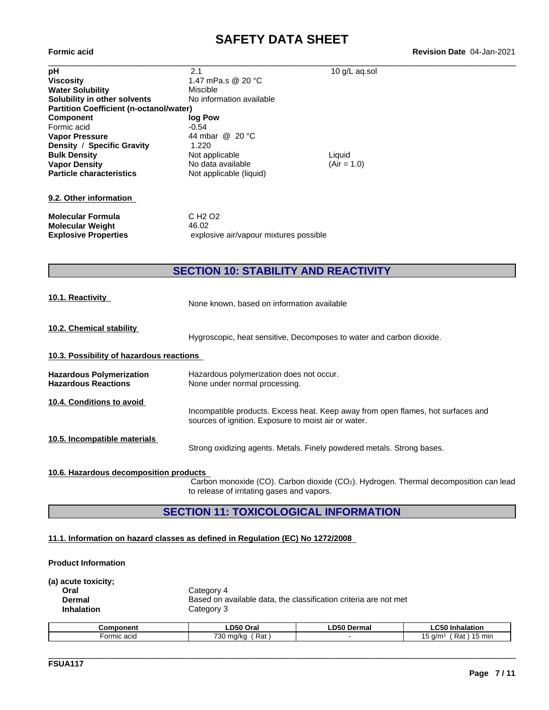**Formic acid Revision Date** 04-Jan-2021

| рH                                             | 2.1                                    | 10 g/L aq.sol |  |
|------------------------------------------------|----------------------------------------|---------------|--|
| <b>Viscosity</b>                               | 1.47 mPa.s @ 20 °C                     |               |  |
| <b>Water Solubility</b>                        | Miscible                               |               |  |
| Solubility in other solvents                   | No information available               |               |  |
| <b>Partition Coefficient (n-octanol/water)</b> |                                        |               |  |
| <b>Component</b>                               | log Pow                                |               |  |
| Formic acid                                    | $-0.54$                                |               |  |
| <b>Vapor Pressure</b>                          | 44 mbar @ 20 °C                        |               |  |
| Density / Specific Gravity                     | 1.220                                  |               |  |
| <b>Bulk Density</b>                            | Not applicable                         | Liquid        |  |
| <b>Vapor Density</b>                           | No data available                      | $(Air = 1.0)$ |  |
| <b>Particle characteristics</b>                | Not applicable (liquid)                |               |  |
| 9.2. Other information                         |                                        |               |  |
| <b>Molecular Formula</b>                       | C H <sub>2</sub> O <sub>2</sub>        |               |  |
| <b>Molecular Weight</b>                        | 46.02                                  |               |  |
| <b>Explosive Properties</b>                    | explosive air/vapour mixtures possible |               |  |

# **SECTION 10: STABILITY AND REACTIVITY**

**10.1. Reactivity** None known, based on information available

**10.2. Chemical stability**

Hygroscopic, heat sensitive, Decomposes to water and carbon dioxide.

### **10.3. Possibility of hazardous reactions**

| <b>Hazardous Polymerization</b><br><b>Hazardous Reactions</b> | Hazardous polymerization does not occur.<br>None under normal processing.                                                                |
|---------------------------------------------------------------|------------------------------------------------------------------------------------------------------------------------------------------|
| 10.4. Conditions to avoid                                     | Incompatible products. Excess heat. Keep away from open flames, hot surfaces and<br>sources of ignition. Exposure to moist air or water. |
| 10.5. Incompatible materials                                  | Strong oxidizing agents. Metals. Finely powdered metals. Strong bases.                                                                   |

#### **10.6. Hazardous decomposition products**

Carbon monoxide (CO). Carbon dioxide (CO2). Hydrogen. Thermal decomposition can lead to release of irritating gases and vapors.

### **SECTION 11: TOXICOLOGICAL INFORMATION**

### **11.1. Information on hazard classes as defined in Regulation (EC) No 1272/2008**

### **Product Information**

| (a) acute toxicity; |                                                                  |
|---------------------|------------------------------------------------------------------|
| Oral                | Category 4                                                       |
| Dermal              | Based on available data, the classification criteria are not met |
| <b>Inhalation</b>   | Category 3                                                       |
|                     |                                                                  |

| Component   | $- - -$<br>Oral                       | LD50<br>Dermal | $\sim$<br>Inhalation<br>∟∪งบ                                           |
|-------------|---------------------------------------|----------------|------------------------------------------------------------------------|
| Formic acid | 720<br>ാ~<br>ma/kc<br>κa<br>Nu<br>ັບເ |                | $\overline{\phantom{0}}$<br>⋻∼<br>,5 d/m <sup>3</sup><br>15 min<br>Rai |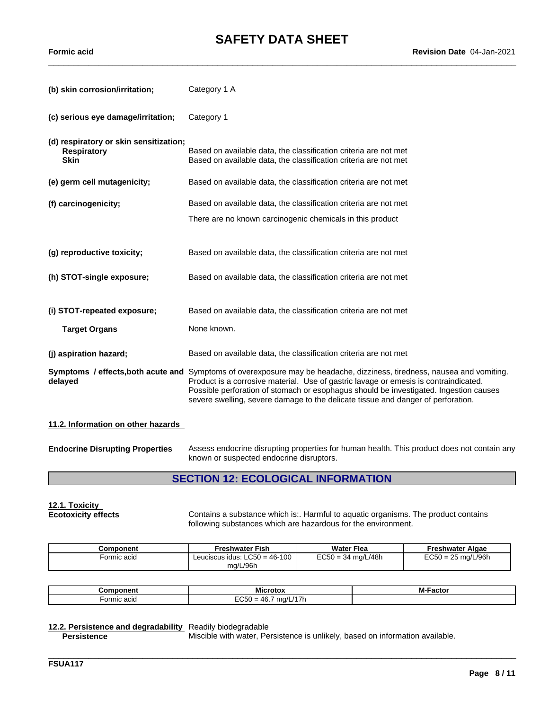$\_$  ,  $\_$  ,  $\_$  ,  $\_$  ,  $\_$  ,  $\_$  ,  $\_$  ,  $\_$  ,  $\_$  ,  $\_$  ,  $\_$  ,  $\_$  ,  $\_$  ,  $\_$  ,  $\_$  ,  $\_$  ,  $\_$  ,  $\_$  ,  $\_$  ,  $\_$  ,  $\_$  ,  $\_$  ,  $\_$  ,  $\_$  ,  $\_$  ,  $\_$  ,  $\_$  ,  $\_$  ,  $\_$  ,  $\_$  ,  $\_$  ,  $\_$  ,  $\_$  ,  $\_$  ,  $\_$  ,  $\_$  ,  $\_$  ,

**Formic acid Revision Date** 04-Jan-2021

| (b) skin corrosion/irritation;                                              | Category 1 A                                                                                                                                                                                                                                                                                                                                                                                 |
|-----------------------------------------------------------------------------|----------------------------------------------------------------------------------------------------------------------------------------------------------------------------------------------------------------------------------------------------------------------------------------------------------------------------------------------------------------------------------------------|
| (c) serious eye damage/irritation;                                          | Category 1                                                                                                                                                                                                                                                                                                                                                                                   |
| (d) respiratory or skin sensitization;<br><b>Respiratory</b><br><b>Skin</b> | Based on available data, the classification criteria are not met<br>Based on available data, the classification criteria are not met                                                                                                                                                                                                                                                         |
| (e) germ cell mutagenicity;                                                 | Based on available data, the classification criteria are not met                                                                                                                                                                                                                                                                                                                             |
| (f) carcinogenicity;                                                        | Based on available data, the classification criteria are not met                                                                                                                                                                                                                                                                                                                             |
|                                                                             | There are no known carcinogenic chemicals in this product                                                                                                                                                                                                                                                                                                                                    |
|                                                                             |                                                                                                                                                                                                                                                                                                                                                                                              |
| (g) reproductive toxicity;                                                  | Based on available data, the classification criteria are not met                                                                                                                                                                                                                                                                                                                             |
| (h) STOT-single exposure;                                                   | Based on available data, the classification criteria are not met                                                                                                                                                                                                                                                                                                                             |
| (i) STOT-repeated exposure;                                                 | Based on available data, the classification criteria are not met                                                                                                                                                                                                                                                                                                                             |
| <b>Target Organs</b>                                                        | None known.                                                                                                                                                                                                                                                                                                                                                                                  |
| (j) aspiration hazard;                                                      | Based on available data, the classification criteria are not met                                                                                                                                                                                                                                                                                                                             |
| delayed                                                                     | Symptoms / effects, both acute and Symptoms of overexposure may be headache, dizziness, tiredness, nausea and vomiting.<br>Product is a corrosive material. Use of gastric lavage or emesis is contraindicated.<br>Possible perforation of stomach or esophagus should be investigated. Ingestion causes<br>severe swelling, severe damage to the delicate tissue and danger of perforation. |
| 11.2. Information on other hazards                                          |                                                                                                                                                                                                                                                                                                                                                                                              |
| <b>Endocrine Disrupting Properties</b>                                      | Assess endocrine disrupting properties for human health. This product does not contain any<br>known or suspected endocrine disruptors.                                                                                                                                                                                                                                                       |

# **SECTION 12: ECOLOGICAL INFORMATION**

**12.1. Toxicity**

Contains a substance which is:. Harmful to aquatic organisms. The product contains following substances which are hazardous for the environment.

\_\_\_\_\_\_\_\_\_\_\_\_\_\_\_\_\_\_\_\_\_\_\_\_\_\_\_\_\_\_\_\_\_\_\_\_\_\_\_\_\_\_\_\_\_\_\_\_\_\_\_\_\_\_\_\_\_\_\_\_\_\_\_\_\_\_\_\_\_\_\_\_\_\_\_\_\_\_\_\_\_\_\_\_\_\_\_\_\_\_\_\_\_\_

| Component   | <b>Freshwater Fish</b>          | <b>Water Flea</b>    | Freshwater Algae     |
|-------------|---------------------------------|----------------------|----------------------|
| Formic acid | Leuciscus idus: $LC50 = 46-100$ | $EC50 = 34$ mg/L/48h | $EC50 = 25$ mg/L/96h |
|             | mg/L/96h                        |                      |                      |

| -----------<br>.nr                                | ---<br><b>Micro</b><br>.<br>חזה־                                                                                                                                                                                                                                                                                                                                                                                                                                                                                                                               | -ясто |
|---------------------------------------------------|----------------------------------------------------------------------------------------------------------------------------------------------------------------------------------------------------------------------------------------------------------------------------------------------------------------------------------------------------------------------------------------------------------------------------------------------------------------------------------------------------------------------------------------------------------------|-------|
| $\overline{\phantom{a}}$<br>-orr<br>nıc acıd<br>. | ----<br>ma/L<br>17 I<br>$\mathbf{u}$<br>$\frac{1}{2} \left( \frac{1}{2} \right) \left( \frac{1}{2} \right) \left( \frac{1}{2} \right) \left( \frac{1}{2} \right) \left( \frac{1}{2} \right) \left( \frac{1}{2} \right) \left( \frac{1}{2} \right) \left( \frac{1}{2} \right) \left( \frac{1}{2} \right) \left( \frac{1}{2} \right) \left( \frac{1}{2} \right) \left( \frac{1}{2} \right) \left( \frac{1}{2} \right) \left( \frac{1}{2} \right) \left( \frac{1}{2} \right) \left( \frac{1}{2} \right) \left( \frac$<br>-<br>--<br>.<br>$\cdot$ $\cdot$<br>- - - |       |

# **12.2. Persistence and degradability** Readily biodegradable

**Persistence** Miscible with water, Persistence is unlikely, based on information available.

**FSUA117**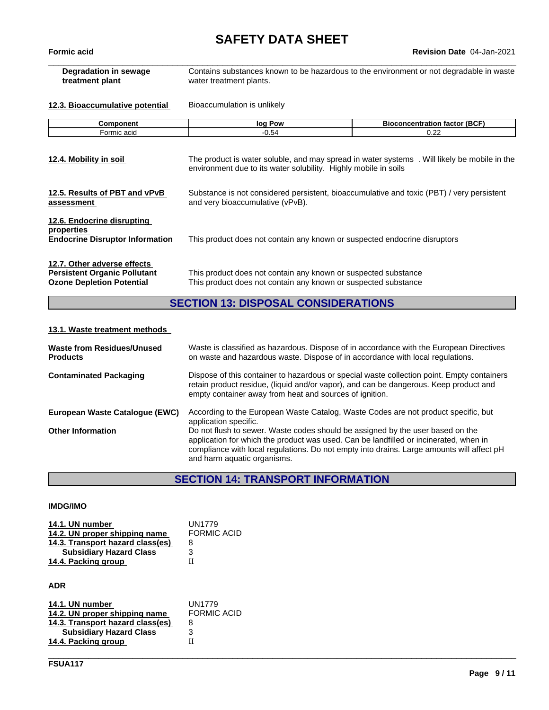**Formic acid Revision Date** 04-Jan-2021

| <b>Degradation in sewage</b><br>treatment plant                                                        | Contains substances known to be hazardous to the environment or not degradable in waste<br>water treatment plants.                                                                  |                                      |  |
|--------------------------------------------------------------------------------------------------------|-------------------------------------------------------------------------------------------------------------------------------------------------------------------------------------|--------------------------------------|--|
| 12.3. Bioaccumulative potential                                                                        | Bioaccumulation is unlikely                                                                                                                                                         |                                      |  |
| Component                                                                                              | log Pow                                                                                                                                                                             | <b>Bioconcentration factor (BCF)</b> |  |
| Formic acid                                                                                            | $-0.54$                                                                                                                                                                             | 0.22                                 |  |
| 12.4. Mobility in soil                                                                                 | The product is water soluble, and may spread in water systems. Will likely be mobile in the<br>environment due to its water solubility. Highly mobile in soils                      |                                      |  |
| 12.5. Results of PBT and vPvB<br>assessment                                                            | Substance is not considered persistent, bioaccumulative and toxic (PBT) / very persistent<br>and very bioaccumulative (vPvB).                                                       |                                      |  |
| 12.6. Endocrine disrupting<br>properties<br><b>Endocrine Disruptor Information</b>                     | This product does not contain any known or suspected endocrine disruptors                                                                                                           |                                      |  |
| 12.7. Other adverse effects<br><b>Persistent Organic Pollutant</b><br><b>Ozone Depletion Potential</b> | This product does not contain any known or suspected substance<br>This product does not contain any known or suspected substance                                                    |                                      |  |
|                                                                                                        | <b>SECTION 13: DISPOSAL CONSIDERATIONS</b>                                                                                                                                          |                                      |  |
| 13.1. Waste treatment methods                                                                          |                                                                                                                                                                                     |                                      |  |
| <b>Waste from Residues/Unused</b><br><b>Products</b>                                                   | Waste is classified as hazardous. Dispose of in accordance with the European Directives<br>on waste and hazardous waste. Dispose of in accordance with local regulations.           |                                      |  |
| <b>Contaminated Packaging</b>                                                                          | Dispose of this container to hazardous or special waste collection point. Empty containers<br>retain product residue, (liquid and/or vapor), and can be dangerous. Keep product and |                                      |  |

| European Waste Catalogue (EWC) | According to the European Waste Catalog, Waste Codes are not product specific, but        |
|--------------------------------|-------------------------------------------------------------------------------------------|
|                                | application specific.                                                                     |
| <b>Other Information</b>       | Do not flush to sewer. Waste codes should be assigned by the user based on the            |
|                                | application for which the product was used. Can be landfilled or incinerated, when in     |
|                                | compliance with local regulations. Do not empty into drains. Large amounts will affect pH |
|                                | and harm aquatic organisms.                                                               |

empty container away from heat and sources of ignition.

# **SECTION 14: TRANSPORT INFORMATION**

\_\_\_\_\_\_\_\_\_\_\_\_\_\_\_\_\_\_\_\_\_\_\_\_\_\_\_\_\_\_\_\_\_\_\_\_\_\_\_\_\_\_\_\_\_\_\_\_\_\_\_\_\_\_\_\_\_\_\_\_\_\_\_\_\_\_\_\_\_\_\_\_\_\_\_\_\_\_\_\_\_\_\_\_\_\_\_\_\_\_\_\_\_\_

### **IMDG/IMO**

| 14.1. UN number                  | UN1779             |
|----------------------------------|--------------------|
| 14.2. UN proper shipping name    | <b>FORMIC ACID</b> |
| 14.3. Transport hazard class(es) |                    |
| <b>Subsidiary Hazard Class</b>   |                    |
| 14.4. Packing group              |                    |
|                                  |                    |

**ADR** 

| 14.1. UN number                  | UN1779             |
|----------------------------------|--------------------|
| 14.2. UN proper shipping name    | <b>FORMIC ACID</b> |
| 14.3. Transport hazard class(es) | 8                  |
| <b>Subsidiary Hazard Class</b>   |                    |
| 14.4. Packing group              |                    |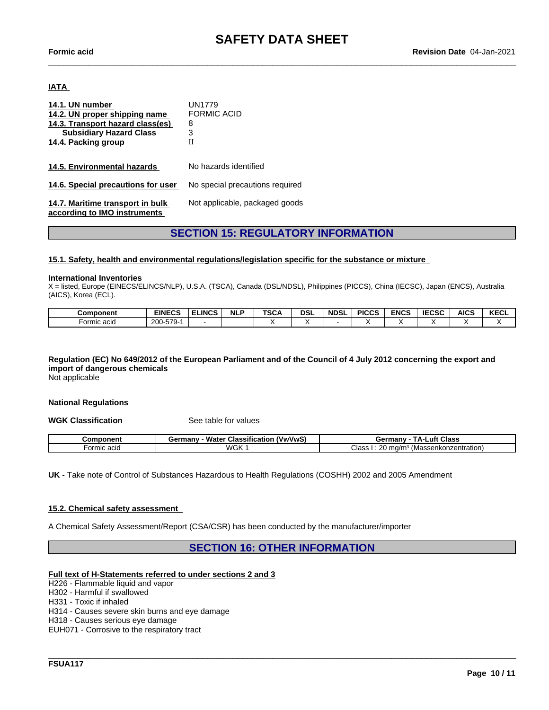$\_$  ,  $\_$  ,  $\_$  ,  $\_$  ,  $\_$  ,  $\_$  ,  $\_$  ,  $\_$  ,  $\_$  ,  $\_$  ,  $\_$  ,  $\_$  ,  $\_$  ,  $\_$  ,  $\_$  ,  $\_$  ,  $\_$  ,  $\_$  ,  $\_$  ,  $\_$  ,  $\_$  ,  $\_$  ,  $\_$  ,  $\_$  ,  $\_$  ,  $\_$  ,  $\_$  ,  $\_$  ,  $\_$  ,  $\_$  ,  $\_$  ,  $\_$  ,  $\_$  ,  $\_$  ,  $\_$  ,  $\_$  ,  $\_$  ,

#### **IATA**

| 14.1. UN number                    | UN1779                          |
|------------------------------------|---------------------------------|
| 14.2. UN proper shipping name      | <b>FORMIC ACID</b>              |
| 14.3. Transport hazard class(es)   | 8                               |
| <b>Subsidiary Hazard Class</b>     | 3                               |
| 14.4. Packing group                | Н                               |
|                                    |                                 |
| 14.5. Environmental hazards        | No hazards identified           |
|                                    |                                 |
| 14.6. Special precautions for user | No special precautions required |
|                                    |                                 |
| 14.7. Maritime transport in bulk   | Not applicable, packaged goods  |
| according to IMO instruments       |                                 |

# **SECTION 15: REGULATORY INFORMATION**

#### **15.1. Safety, health and environmental regulations/legislation specific for the substance or mixture**

#### **International Inventories**

X = listed, Europe (EINECS/ELINCS/NLP), U.S.A. (TSCA), Canada (DSL/NDSL), Philippines (PICCS), China (IECSC), Japan (ENCS), Australia (AICS), Korea (ECL).

| Component   | <b>EINECS</b>                 | <b>ELINCS</b> | <b>NLF</b> | <b>TSCA</b> | <b>DSL</b> | <b>NDSL</b> | <b>PICCS</b> | <b>ENCS</b> | <b>IECSC</b> | <b>AICS</b> | KECL |
|-------------|-------------------------------|---------------|------------|-------------|------------|-------------|--------------|-------------|--------------|-------------|------|
| Formic acid | 200<br>$-570-$<br><b>UI</b> U |               |            |             |            |             |              |             |              |             |      |

# Regulation (EC) No 649/2012 of the European Parliament and of the Council of 4 July 2012 concerning the export and **import of dangerous chemicals**

Not applicable

#### **National Regulations**

**WGK Classification** See table for values

| nonent      | <br>Water<br>(VwVwS)<br>≧armany<br>Classification<br>JUHIT J | Class<br>тΔ.,<br>.uft<br>Germany            |
|-------------|--------------------------------------------------------------|---------------------------------------------|
| -ormic acio | <b>WGK</b>                                                   | Class<br>(Massenkonzentration)<br>ma/m<br>∼ |

**UK** - Take note of Control of Substances Hazardous to Health Regulations (COSHH) 2002 and 2005 Amendment

#### **15.2. Chemical safety assessment**

A Chemical Safety Assessment/Report (CSA/CSR) has been conducted by the manufacturer/importer

### **SECTION 16: OTHER INFORMATION**

\_\_\_\_\_\_\_\_\_\_\_\_\_\_\_\_\_\_\_\_\_\_\_\_\_\_\_\_\_\_\_\_\_\_\_\_\_\_\_\_\_\_\_\_\_\_\_\_\_\_\_\_\_\_\_\_\_\_\_\_\_\_\_\_\_\_\_\_\_\_\_\_\_\_\_\_\_\_\_\_\_\_\_\_\_\_\_\_\_\_\_\_\_\_

#### **Full text of H-Statements referred to undersections 2 and 3**

H226 - Flammable liquid and vapor

H302 - Harmful if swallowed

H331 - Toxic if inhaled

H314 - Causes severe skin burns and eye damage

H318 - Causes serious eye damage

EUH071 - Corrosive to the respiratory tract